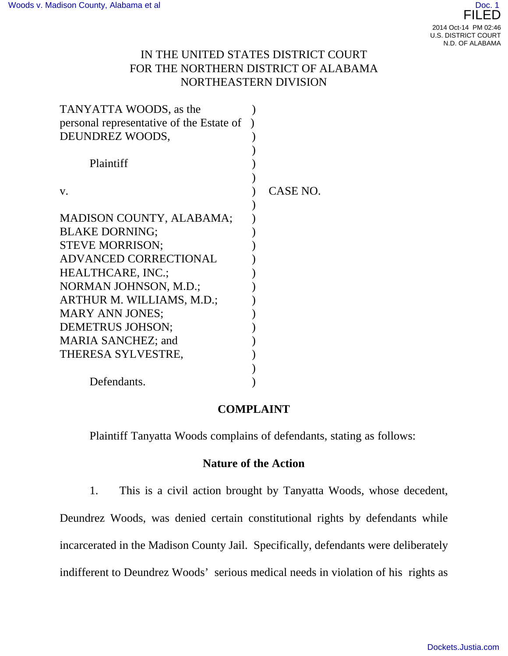# IN THE UNITED STATES DISTRICT COURT FOR THE NORTHERN DISTRICT OF ALABAMA NORTHEASTERN DIVISION

| TANYATTA WOODS, as the                   |          |
|------------------------------------------|----------|
| personal representative of the Estate of |          |
| DEUNDREZ WOODS,                          |          |
|                                          |          |
| Plaintiff                                |          |
|                                          |          |
| V.                                       | CASE NO. |
|                                          |          |
| <b>MADISON COUNTY, ALABAMA;</b>          |          |
| <b>BLAKE DORNING:</b>                    |          |
| <b>STEVE MORRISON;</b>                   |          |
| <b>ADVANCED CORRECTIONAL</b>             |          |
| <b>HEALTHCARE, INC.;</b>                 |          |
| NORMAN JOHNSON, M.D.;                    |          |
| ARTHUR M. WILLIAMS, M.D.;                |          |
| <b>MARY ANN JONES;</b>                   |          |
| <b>DEMETRUS JOHSON;</b>                  |          |
| <b>MARIA SANCHEZ; and</b>                |          |
| THERESA SYLVESTRE,                       |          |
|                                          |          |
| Defendants.                              |          |

# **COMPLAINT**

Plaintiff Tanyatta Woods complains of defendants, stating as follows:

### **Nature of the Action**

1. This is a civil action brought by Tanyatta Woods, whose decedent,

Deundrez Woods, was denied certain constitutional rights by defendants while incarcerated in the Madison County Jail. Specifically, defendants were deliberately indifferent to Deundrez Woods' serious medical needs in violation of his rights as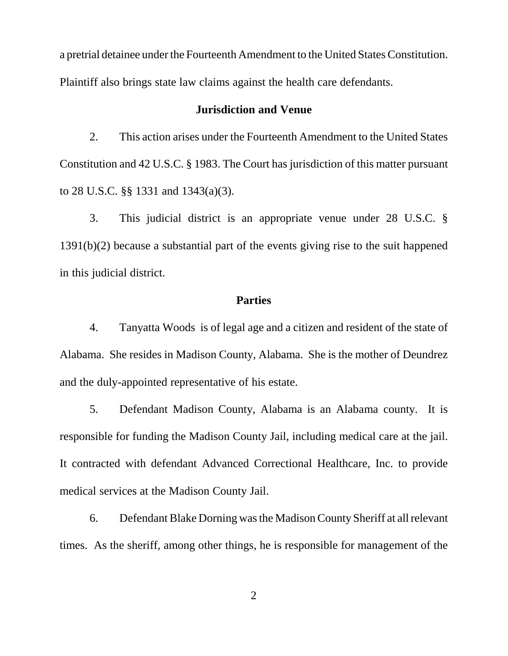a pretrial detainee under the Fourteenth Amendment to the United States Constitution. Plaintiff also brings state law claims against the health care defendants.

#### **Jurisdiction and Venue**

2. This action arises under the Fourteenth Amendment to the United States Constitution and 42 U.S.C. § 1983. The Court has jurisdiction of this matter pursuant to 28 U.S.C. §§ 1331 and 1343(a)(3).

3. This judicial district is an appropriate venue under 28 U.S.C. § 1391(b)(2) because a substantial part of the events giving rise to the suit happened in this judicial district.

#### **Parties**

4. Tanyatta Woods is of legal age and a citizen and resident of the state of Alabama. She resides in Madison County, Alabama. She is the mother of Deundrez and the duly-appointed representative of his estate.

5. Defendant Madison County, Alabama is an Alabama county. It is responsible for funding the Madison County Jail, including medical care at the jail. It contracted with defendant Advanced Correctional Healthcare, Inc. to provide medical services at the Madison County Jail.

6. Defendant Blake Dorning was the Madison County Sheriff at all relevant times. As the sheriff, among other things, he is responsible for management of the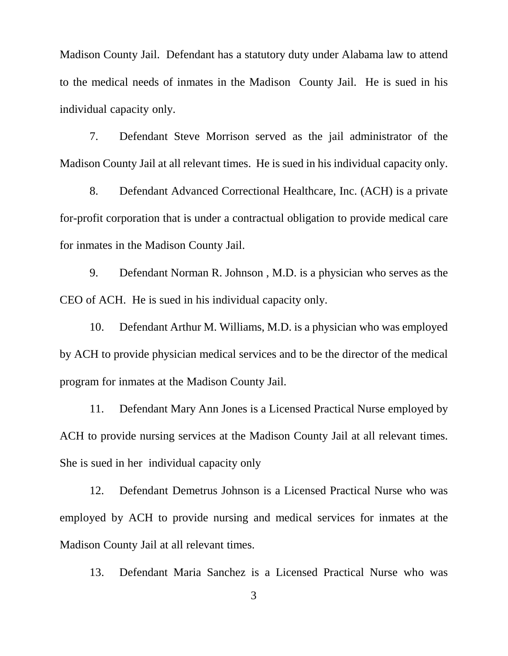Madison County Jail. Defendant has a statutory duty under Alabama law to attend to the medical needs of inmates in the Madison County Jail. He is sued in his individual capacity only.

7. Defendant Steve Morrison served as the jail administrator of the Madison County Jail at all relevant times. He is sued in his individual capacity only.

8. Defendant Advanced Correctional Healthcare, Inc. (ACH) is a private for-profit corporation that is under a contractual obligation to provide medical care for inmates in the Madison County Jail.

9. Defendant Norman R. Johnson , M.D. is a physician who serves as the CEO of ACH. He is sued in his individual capacity only.

10. Defendant Arthur M. Williams, M.D. is a physician who was employed by ACH to provide physician medical services and to be the director of the medical program for inmates at the Madison County Jail.

11. Defendant Mary Ann Jones is a Licensed Practical Nurse employed by ACH to provide nursing services at the Madison County Jail at all relevant times. She is sued in her individual capacity only

12. Defendant Demetrus Johnson is a Licensed Practical Nurse who was employed by ACH to provide nursing and medical services for inmates at the Madison County Jail at all relevant times.

13. Defendant Maria Sanchez is a Licensed Practical Nurse who was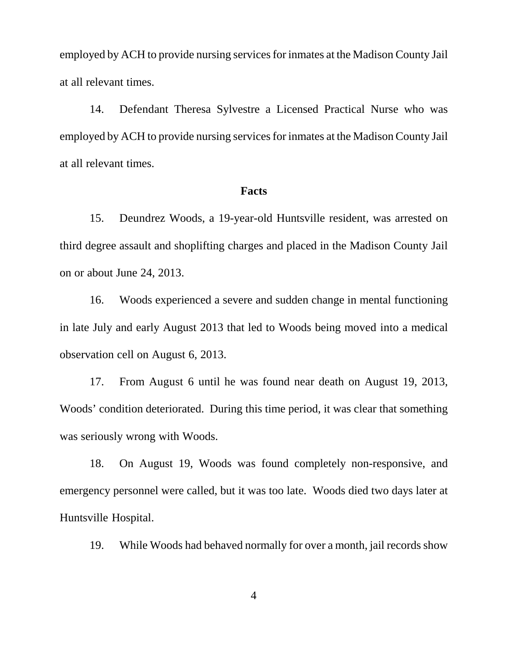employed by ACH to provide nursing services for inmates at the Madison County Jail at all relevant times.

14. Defendant Theresa Sylvestre a Licensed Practical Nurse who was employed by ACH to provide nursing services for inmates at the Madison County Jail at all relevant times.

#### **Facts**

15. Deundrez Woods, a 19-year-old Huntsville resident, was arrested on third degree assault and shoplifting charges and placed in the Madison County Jail on or about June 24, 2013.

16. Woods experienced a severe and sudden change in mental functioning in late July and early August 2013 that led to Woods being moved into a medical observation cell on August 6, 2013.

17. From August 6 until he was found near death on August 19, 2013, Woods' condition deteriorated. During this time period, it was clear that something was seriously wrong with Woods.

18. On August 19, Woods was found completely non-responsive, and emergency personnel were called, but it was too late. Woods died two days later at Huntsville Hospital.

19. While Woods had behaved normally for over a month, jail records show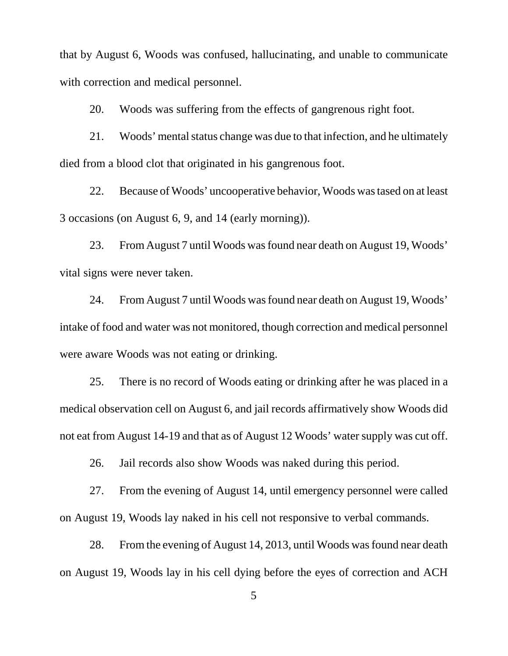that by August 6, Woods was confused, hallucinating, and unable to communicate with correction and medical personnel.

20. Woods was suffering from the effects of gangrenous right foot.

21. Woods' mental status change was due to that infection, and he ultimately died from a blood clot that originated in his gangrenous foot.

22. Because of Woods' uncooperative behavior, Woods was tased on at least 3 occasions (on August 6, 9, and 14 (early morning)).

23. From August 7 until Woods was found near death on August 19, Woods' vital signs were never taken.

24. From August 7 until Woods was found near death on August 19, Woods' intake of food and water was not monitored, though correction and medical personnel were aware Woods was not eating or drinking.

25. There is no record of Woods eating or drinking after he was placed in a medical observation cell on August 6, and jail records affirmatively show Woods did not eat from August 14-19 and that as of August 12 Woods' water supply was cut off.

26. Jail records also show Woods was naked during this period.

27. From the evening of August 14, until emergency personnel were called on August 19, Woods lay naked in his cell not responsive to verbal commands.

28. From the evening of August 14, 2013, until Woods was found near death on August 19, Woods lay in his cell dying before the eyes of correction and ACH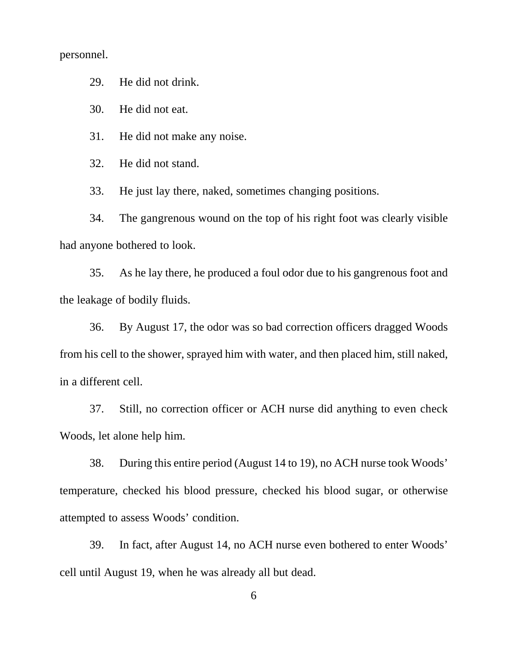personnel.

29. He did not drink.

30. He did not eat.

31. He did not make any noise.

32. He did not stand.

33. He just lay there, naked, sometimes changing positions.

34. The gangrenous wound on the top of his right foot was clearly visible had anyone bothered to look.

35. As he lay there, he produced a foul odor due to his gangrenous foot and the leakage of bodily fluids.

36. By August 17, the odor was so bad correction officers dragged Woods from his cell to the shower, sprayed him with water, and then placed him, still naked, in a different cell.

37. Still, no correction officer or ACH nurse did anything to even check Woods, let alone help him.

38. During this entire period (August 14 to 19), no ACH nurse took Woods' temperature, checked his blood pressure, checked his blood sugar, or otherwise attempted to assess Woods' condition.

39. In fact, after August 14, no ACH nurse even bothered to enter Woods' cell until August 19, when he was already all but dead.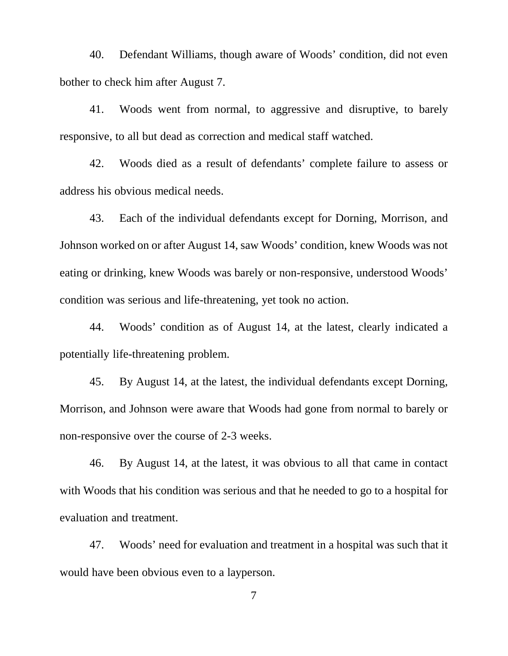40. Defendant Williams, though aware of Woods' condition, did not even bother to check him after August 7.

41. Woods went from normal, to aggressive and disruptive, to barely responsive, to all but dead as correction and medical staff watched.

42. Woods died as a result of defendants' complete failure to assess or address his obvious medical needs.

43. Each of the individual defendants except for Dorning, Morrison, and Johnson worked on or after August 14, saw Woods' condition, knew Woods was not eating or drinking, knew Woods was barely or non-responsive, understood Woods' condition was serious and life-threatening, yet took no action.

44. Woods' condition as of August 14, at the latest, clearly indicated a potentially life-threatening problem.

45. By August 14, at the latest, the individual defendants except Dorning, Morrison, and Johnson were aware that Woods had gone from normal to barely or non-responsive over the course of 2-3 weeks.

46. By August 14, at the latest, it was obvious to all that came in contact with Woods that his condition was serious and that he needed to go to a hospital for evaluation and treatment.

47. Woods' need for evaluation and treatment in a hospital was such that it would have been obvious even to a layperson.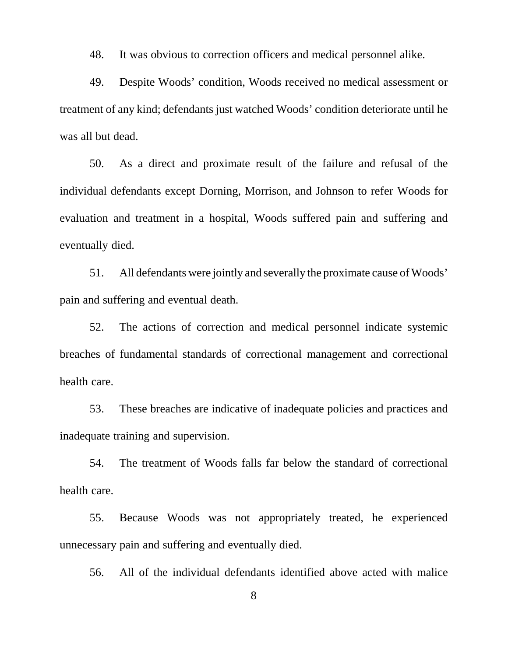48. It was obvious to correction officers and medical personnel alike.

49. Despite Woods' condition, Woods received no medical assessment or treatment of any kind; defendants just watched Woods' condition deteriorate until he was all but dead.

50. As a direct and proximate result of the failure and refusal of the individual defendants except Dorning, Morrison, and Johnson to refer Woods for evaluation and treatment in a hospital, Woods suffered pain and suffering and eventually died.

51. All defendants were jointly and severally the proximate cause of Woods' pain and suffering and eventual death.

52. The actions of correction and medical personnel indicate systemic breaches of fundamental standards of correctional management and correctional health care.

53. These breaches are indicative of inadequate policies and practices and inadequate training and supervision.

54. The treatment of Woods falls far below the standard of correctional health care.

55. Because Woods was not appropriately treated, he experienced unnecessary pain and suffering and eventually died.

56. All of the individual defendants identified above acted with malice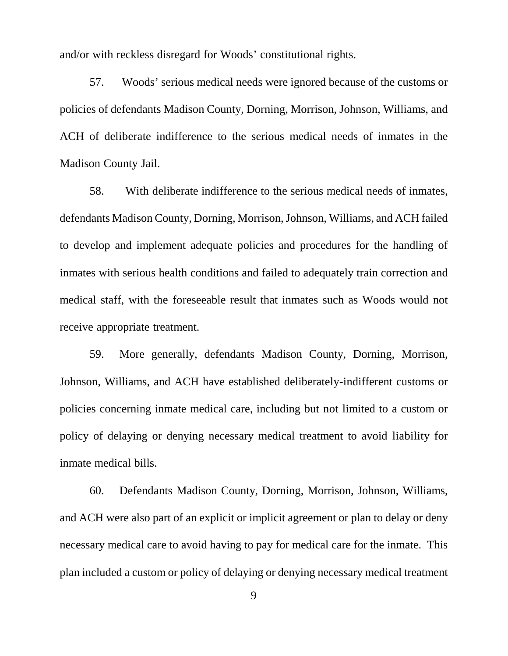and/or with reckless disregard for Woods' constitutional rights.

57. Woods' serious medical needs were ignored because of the customs or policies of defendants Madison County, Dorning, Morrison, Johnson, Williams, and ACH of deliberate indifference to the serious medical needs of inmates in the Madison County Jail.

58. With deliberate indifference to the serious medical needs of inmates, defendants Madison County, Dorning, Morrison, Johnson, Williams, and ACH failed to develop and implement adequate policies and procedures for the handling of inmates with serious health conditions and failed to adequately train correction and medical staff, with the foreseeable result that inmates such as Woods would not receive appropriate treatment.

59. More generally, defendants Madison County, Dorning, Morrison, Johnson, Williams, and ACH have established deliberately-indifferent customs or policies concerning inmate medical care, including but not limited to a custom or policy of delaying or denying necessary medical treatment to avoid liability for inmate medical bills.

60. Defendants Madison County, Dorning, Morrison, Johnson, Williams, and ACH were also part of an explicit or implicit agreement or plan to delay or deny necessary medical care to avoid having to pay for medical care for the inmate. This plan included a custom or policy of delaying or denying necessary medical treatment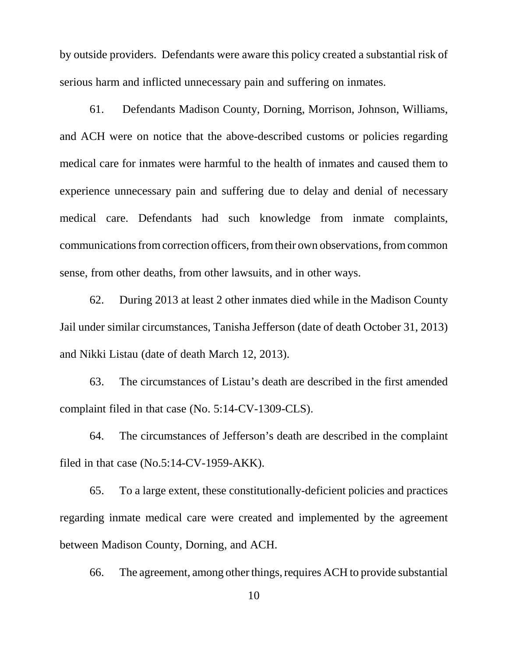by outside providers. Defendants were aware this policy created a substantial risk of serious harm and inflicted unnecessary pain and suffering on inmates.

61. Defendants Madison County, Dorning, Morrison, Johnson, Williams, and ACH were on notice that the above-described customs or policies regarding medical care for inmates were harmful to the health of inmates and caused them to experience unnecessary pain and suffering due to delay and denial of necessary medical care. Defendants had such knowledge from inmate complaints, communications from correction officers, from their own observations, from common sense, from other deaths, from other lawsuits, and in other ways.

62. During 2013 at least 2 other inmates died while in the Madison County Jail under similar circumstances, Tanisha Jefferson (date of death October 31, 2013) and Nikki Listau (date of death March 12, 2013).

63. The circumstances of Listau's death are described in the first amended complaint filed in that case (No. 5:14-CV-1309-CLS).

64. The circumstances of Jefferson's death are described in the complaint filed in that case (No.5:14-CV-1959-AKK).

65. To a large extent, these constitutionally-deficient policies and practices regarding inmate medical care were created and implemented by the agreement between Madison County, Dorning, and ACH.

66. The agreement, among other things, requires ACH to provide substantial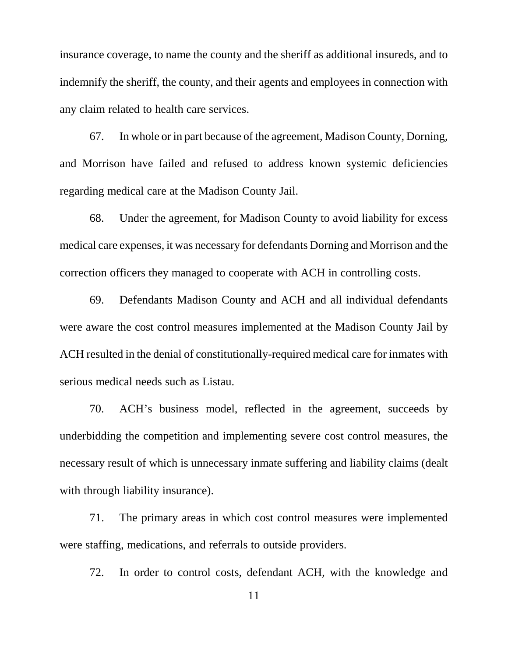insurance coverage, to name the county and the sheriff as additional insureds, and to indemnify the sheriff, the county, and their agents and employees in connection with any claim related to health care services.

67. In whole or in part because of the agreement, Madison County, Dorning, and Morrison have failed and refused to address known systemic deficiencies regarding medical care at the Madison County Jail.

68. Under the agreement, for Madison County to avoid liability for excess medical care expenses, it was necessary for defendants Dorning and Morrison and the correction officers they managed to cooperate with ACH in controlling costs.

69. Defendants Madison County and ACH and all individual defendants were aware the cost control measures implemented at the Madison County Jail by ACH resulted in the denial of constitutionally-required medical care for inmates with serious medical needs such as Listau.

70. ACH's business model, reflected in the agreement, succeeds by underbidding the competition and implementing severe cost control measures, the necessary result of which is unnecessary inmate suffering and liability claims (dealt with through liability insurance).

71. The primary areas in which cost control measures were implemented were staffing, medications, and referrals to outside providers.

72. In order to control costs, defendant ACH, with the knowledge and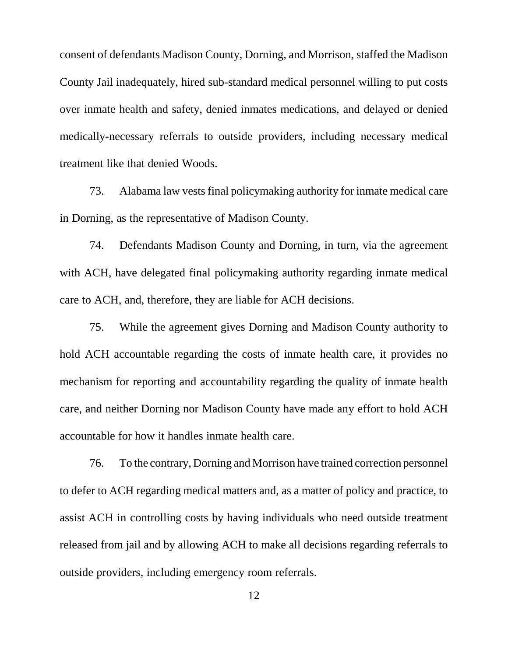consent of defendants Madison County, Dorning, and Morrison, staffed the Madison County Jail inadequately, hired sub-standard medical personnel willing to put costs over inmate health and safety, denied inmates medications, and delayed or denied medically-necessary referrals to outside providers, including necessary medical treatment like that denied Woods.

73. Alabama law vests final policymaking authority for inmate medical care in Dorning, as the representative of Madison County.

74. Defendants Madison County and Dorning, in turn, via the agreement with ACH, have delegated final policymaking authority regarding inmate medical care to ACH, and, therefore, they are liable for ACH decisions.

75. While the agreement gives Dorning and Madison County authority to hold ACH accountable regarding the costs of inmate health care, it provides no mechanism for reporting and accountability regarding the quality of inmate health care, and neither Dorning nor Madison County have made any effort to hold ACH accountable for how it handles inmate health care.

76. To the contrary, Dorning and Morrison have trained correction personnel to defer to ACH regarding medical matters and, as a matter of policy and practice, to assist ACH in controlling costs by having individuals who need outside treatment released from jail and by allowing ACH to make all decisions regarding referrals to outside providers, including emergency room referrals.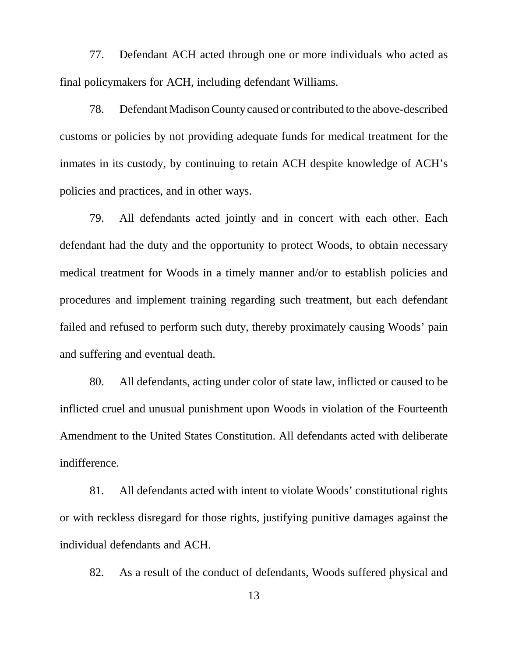77. Defendant ACH acted through one or more individuals who acted as final policymakers for ACH, including defendant Williams.

78. Defendant Madison County caused or contributed to the above-described customs or policies by not providing adequate funds for medical treatment for the inmates in its custody, by continuing to retain ACH despite knowledge of ACH's policies and practices, and in other ways.

79. All defendants acted jointly and in concert with each other. Each defendant had the duty and the opportunity to protect Woods, to obtain necessary medical treatment for Woods in a timely manner and/or to establish policies and procedures and implement training regarding such treatment, but each defendant failed and refused to perform such duty, thereby proximately causing Woods' pain and suffering and eventual death.

80. All defendants, acting under color of state law, inflicted or caused to be inflicted cruel and unusual punishment upon Woods in violation of the Fourteenth Amendment to the United States Constitution. All defendants acted with deliberate indifference.

81. All defendants acted with intent to violate Woods' constitutional rights or with reckless disregard for those rights, justifying punitive damages against the individual defendants and ACH.

82. As a result of the conduct of defendants, Woods suffered physical and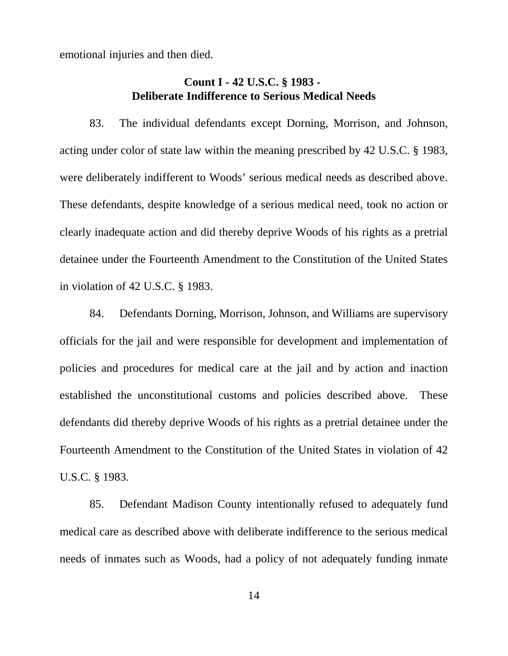emotional injuries and then died.

# **Count I - 42 U.S.C. § 1983 - Deliberate Indifference to Serious Medical Needs**

83. The individual defendants except Dorning, Morrison, and Johnson, acting under color of state law within the meaning prescribed by 42 U.S.C. § 1983, were deliberately indifferent to Woods' serious medical needs as described above. These defendants, despite knowledge of a serious medical need, took no action or clearly inadequate action and did thereby deprive Woods of his rights as a pretrial detainee under the Fourteenth Amendment to the Constitution of the United States in violation of 42 U.S.C. § 1983.

84. Defendants Dorning, Morrison, Johnson, and Williams are supervisory officials for the jail and were responsible for development and implementation of policies and procedures for medical care at the jail and by action and inaction established the unconstitutional customs and policies described above. These defendants did thereby deprive Woods of his rights as a pretrial detainee under the Fourteenth Amendment to the Constitution of the United States in violation of 42 U.S.C. § 1983.

85. Defendant Madison County intentionally refused to adequately fund medical care as described above with deliberate indifference to the serious medical needs of inmates such as Woods, had a policy of not adequately funding inmate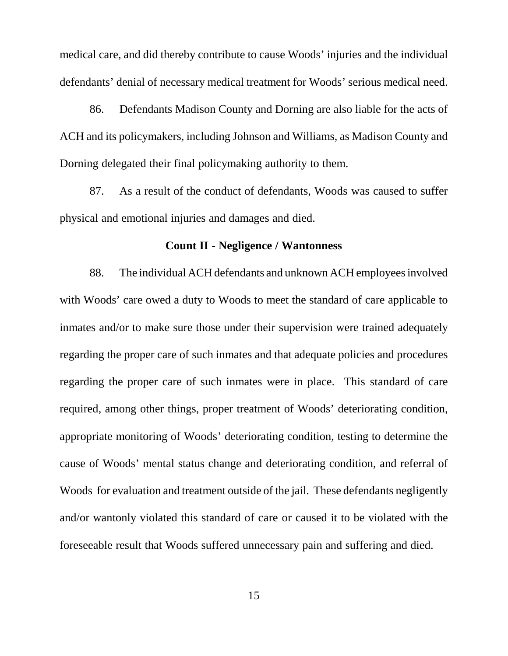medical care, and did thereby contribute to cause Woods' injuries and the individual defendants' denial of necessary medical treatment for Woods' serious medical need.

86. Defendants Madison County and Dorning are also liable for the acts of ACH and its policymakers, including Johnson and Williams, as Madison County and Dorning delegated their final policymaking authority to them.

87. As a result of the conduct of defendants, Woods was caused to suffer physical and emotional injuries and damages and died.

#### **Count II - Negligence / Wantonness**

88. The individual ACH defendants and unknown ACH employees involved with Woods' care owed a duty to Woods to meet the standard of care applicable to inmates and/or to make sure those under their supervision were trained adequately regarding the proper care of such inmates and that adequate policies and procedures regarding the proper care of such inmates were in place. This standard of care required, among other things, proper treatment of Woods' deteriorating condition, appropriate monitoring of Woods' deteriorating condition, testing to determine the cause of Woods' mental status change and deteriorating condition, and referral of Woods for evaluation and treatment outside of the jail. These defendants negligently and/or wantonly violated this standard of care or caused it to be violated with the foreseeable result that Woods suffered unnecessary pain and suffering and died.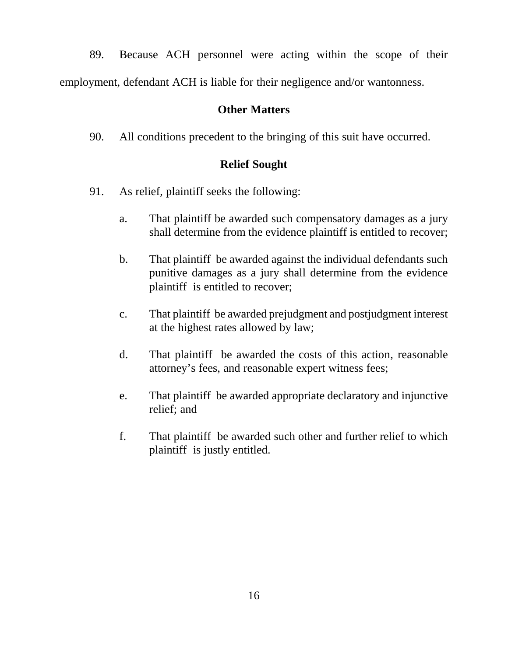89. Because ACH personnel were acting within the scope of their employment, defendant ACH is liable for their negligence and/or wantonness.

# **Other Matters**

90. All conditions precedent to the bringing of this suit have occurred.

## **Relief Sought**

- 91. As relief, plaintiff seeks the following:
	- a. That plaintiff be awarded such compensatory damages as a jury shall determine from the evidence plaintiff is entitled to recover;
	- b. That plaintiff be awarded against the individual defendants such punitive damages as a jury shall determine from the evidence plaintiff is entitled to recover;
	- c. That plaintiff be awarded prejudgment and postjudgment interest at the highest rates allowed by law;
	- d. That plaintiff be awarded the costs of this action, reasonable attorney's fees, and reasonable expert witness fees;
	- e. That plaintiff be awarded appropriate declaratory and injunctive relief; and
	- f. That plaintiff be awarded such other and further relief to which plaintiff is justly entitled.